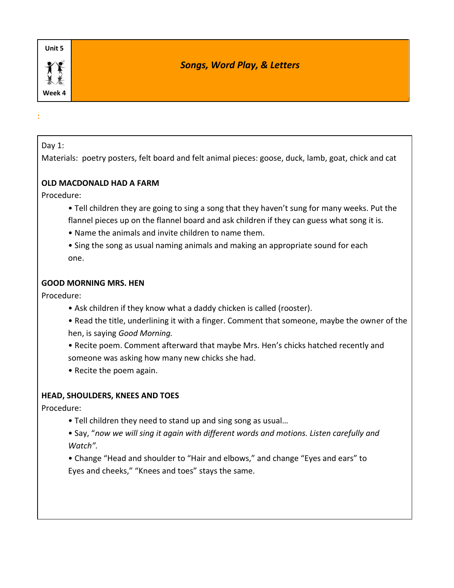# *Songs, Word Play, & Letters*

#### Day 1:

**:**

Materials: poetry posters, felt board and felt animal pieces: goose, duck, lamb, goat, chick and cat

### **OLD MACDONALD HAD A FARM**

Procedure:

- Tell children they are going to sing a song that they haven't sung for many weeks. Put the flannel pieces up on the flannel board and ask children if they can guess what song it is.
- Name the animals and invite children to name them.
- Sing the song as usual naming animals and making an appropriate sound for each one.

### **GOOD MORNING MRS. HEN**

Procedure:

- Ask children if they know what a daddy chicken is called (rooster).
- Read the title, underlining it with a finger. Comment that someone, maybe the owner of the hen, is saying *Good Morning.*
- Recite poem. Comment afterward that maybe Mrs. Hen's chicks hatched recently and someone was asking how many new chicks she had.
- Recite the poem again.

## **HEAD, SHOULDERS, KNEES AND TOES**

- Tell children they need to stand up and sing song as usual…
- Say, "*now we will sing it again with different words and motions. Listen carefully and Watch".*
- Change "Head and shoulder to "Hair and elbows," and change "Eyes and ears" to Eyes and cheeks," "Knees and toes" stays the same.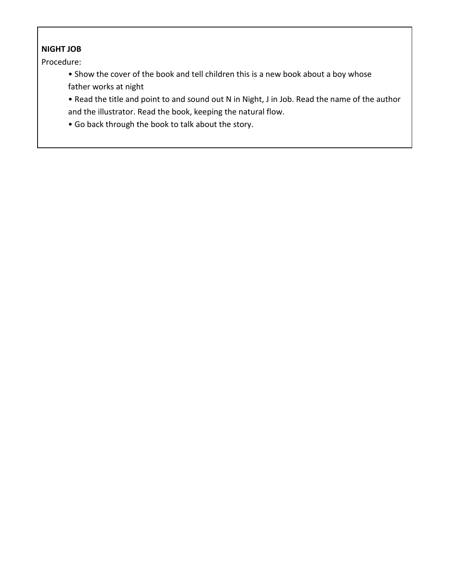## **NIGHT JOB**

- Show the cover of the book and tell children this is a new book about a boy whose father works at night
- Read the title and point to and sound out N in Night, J in Job. Read the name of the author and the illustrator. Read the book, keeping the natural flow.
- Go back through the book to talk about the story.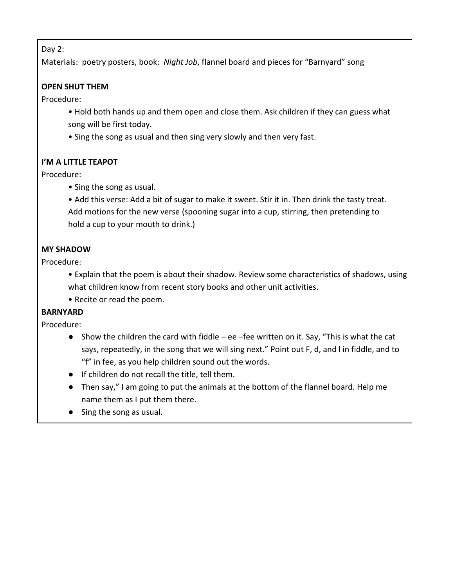Day 2:

Materials: poetry posters, book: *Night Job*, flannel board and pieces for "Barnyard" song

### **OPEN SHUT THEM**

Procedure:

- Hold both hands up and them open and close them. Ask children if they can guess what song will be first today.
- Sing the song as usual and then sing very slowly and then very fast.

## **I'M A LITTLE TEAPOT**

Procedure:

- Sing the song as usual.
- Add this verse: Add a bit of sugar to make it sweet. Stir it in. Then drink the tasty treat. Add motions for the new verse (spooning sugar into a cup, stirring, then pretending to hold a cup to your mouth to drink.)

## **MY SHADOW**

Procedure:

- Explain that the poem is about their shadow. Review some characteristics of shadows, using what children know from recent story books and other unit activities.
- Recite or read the poem.

### **BARNYARD**

- Show the children the card with fiddle ee fee written on it. Say, "This is what the cat says, repeatedly, in the song that we will sing next." Point out F, d, and l in fiddle, and to "f" in fee, as you help children sound out the words.
- If children do not recall the title, tell them.
- Then say," I am going to put the animals at the bottom of the flannel board. Help me name them as I put them there.
- Sing the song as usual.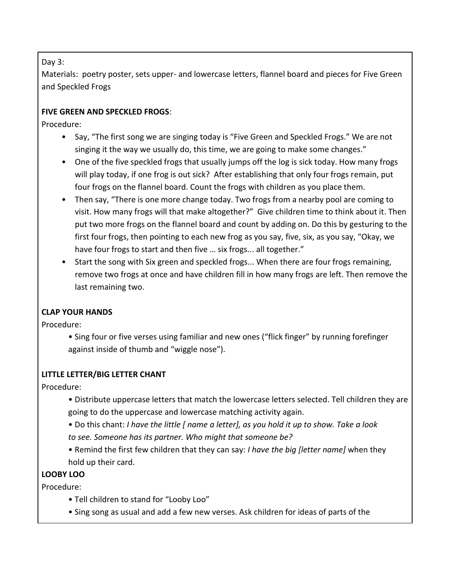Day 3:

Materials: poetry poster, sets upper- and lowercase letters, flannel board and pieces for Five Green and Speckled Frogs

## **FIVE GREEN AND SPECKLED FROGS**:

Procedure:

- Say, "The first song we are singing today is "Five Green and Speckled Frogs." We are not singing it the way we usually do, this time, we are going to make some changes."
- One of the five speckled frogs that usually jumps off the log is sick today. How many frogs will play today, if one frog is out sick? After establishing that only four frogs remain, put four frogs on the flannel board. Count the frogs with children as you place them.
- Then say, "There is one more change today. Two frogs from a nearby pool are coming to visit. How many frogs will that make altogether?" Give children time to think about it. Then put two more frogs on the flannel board and count by adding on. Do this by gesturing to the first four frogs, then pointing to each new frog as you say, five, six, as you say, "Okay, we have four frogs to start and then five ... six frogs... all together."
- Start the song with Six green and speckled frogs... When there are four frogs remaining, remove two frogs at once and have children fill in how many frogs are left. Then remove the last remaining two.

## **CLAP YOUR HANDS**

Procedure:

• Sing four or five verses using familiar and new ones ("flick finger" by running forefinger against inside of thumb and "wiggle nose").

## **LITTLE LETTER/BIG LETTER CHANT**

Procedure:

- Distribute uppercase letters that match the lowercase letters selected. Tell children they are going to do the uppercase and lowercase matching activity again.
- Do this chant: *I have the little [ name a letter], as you hold it up to show. Take a look to see. Someone has its partner. Who might that someone be?*
- Remind the first few children that they can say: *I have the big [letter name]* when they hold up their card.

# **LOOBY LOO**

- Tell children to stand for "Looby Loo"
- Sing song as usual and add a few new verses. Ask children for ideas of parts of the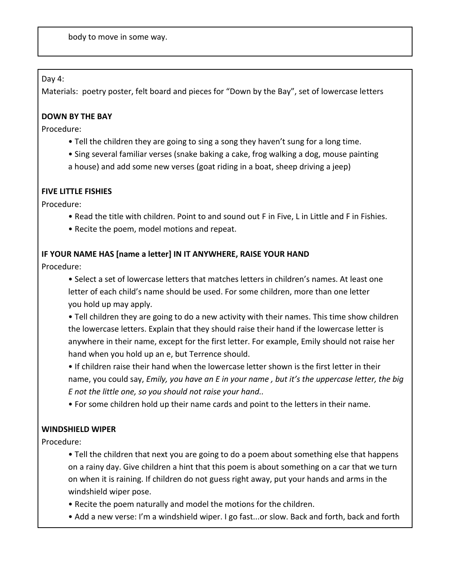body to move in some way.

Day 4:

Materials: poetry poster, felt board and pieces for "Down by the Bay", set of lowercase letters

### **DOWN BY THE BAY**

Procedure:

- Tell the children they are going to sing a song they haven't sung for a long time.
- Sing several familiar verses (snake baking a cake, frog walking a dog, mouse painting
- a house) and add some new verses (goat riding in a boat, sheep driving a jeep)

### **FIVE LITTLE FISHIES**

Procedure:

- Read the title with children. Point to and sound out F in Five, L in Little and F in Fishies.
- Recite the poem, model motions and repeat.

### **IF YOUR NAME HAS [name a letter] IN IT ANYWHERE, RAISE YOUR HAND**

Procedure:

- Select a set of lowercase letters that matches letters in children's names. At least one letter of each child's name should be used. For some children, more than one letter you hold up may apply.
- Tell children they are going to do a new activity with their names. This time show children the lowercase letters. Explain that they should raise their hand if the lowercase letter is anywhere in their name, except for the first letter. For example, Emily should not raise her hand when you hold up an e, but Terrence should.
- If children raise their hand when the lowercase letter shown is the first letter in their name, you could say, *Emily, you have an E in your name , but it's the uppercase letter, the big E not the little one, so you should not raise your hand..*
- For some children hold up their name cards and point to the letters in their name.

## **WINDSHIELD WIPER**

- Tell the children that next you are going to do a poem about something else that happens on a rainy day. Give children a hint that this poem is about something on a car that we turn on when it is raining. If children do not guess right away, put your hands and arms in the windshield wiper pose.
- Recite the poem naturally and model the motions for the children.
- Add a new verse: I'm a windshield wiper. I go fast...or slow. Back and forth, back and forth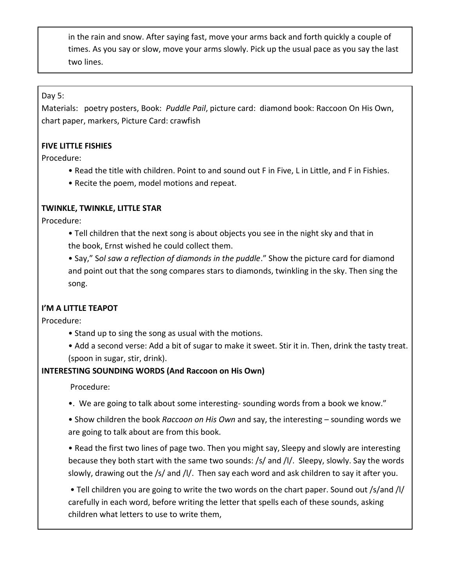in the rain and snow. After saying fast, move your arms back and forth quickly a couple of times. As you say or slow, move your arms slowly. Pick up the usual pace as you say the last two lines.

Day 5:

Materials: poetry posters, Book: *Puddle Pail*, picture card: diamond book: Raccoon On His Own, chart paper, markers, Picture Card: crawfish

### **FIVE LITTLE FISHIES**

Procedure:

- Read the title with children. Point to and sound out F in Five, L in Little, and F in Fishies.
- Recite the poem, model motions and repeat.

### **TWINKLE, TWINKLE, LITTLE STAR**

Procedure:

• Tell children that the next song is about objects you see in the night sky and that in the book, Ernst wished he could collect them.

• Say," S*ol saw a reflection of diamonds in the puddle*." Show the picture card for diamond and point out that the song compares stars to diamonds, twinkling in the sky. Then sing the song.

### **I'M A LITTLE TEAPOT**

Procedure:

- Stand up to sing the song as usual with the motions.
- Add a second verse: Add a bit of sugar to make it sweet. Stir it in. Then, drink the tasty treat. (spoon in sugar, stir, drink).

## **INTERESTING SOUNDING WORDS (And Raccoon on His Own)**

Procedure:

•. We are going to talk about some interesting- sounding words from a book we know."

• Show children the book *Raccoon on His Own* and say, the interesting – sounding words we are going to talk about are from this book.

• Read the first two lines of page two. Then you might say, Sleepy and slowly are interesting because they both start with the same two sounds: /s/ and /l/. Sleepy, slowly. Say the words slowly, drawing out the /s/ and /l/. Then say each word and ask children to say it after you.

• Tell children you are going to write the two words on the chart paper. Sound out /s/and /l/ carefully in each word, before writing the letter that spells each of these sounds, asking children what letters to use to write them,